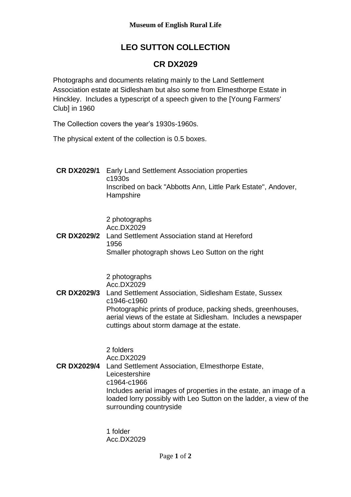## **LEO SUTTON COLLECTION**

## **CR DX2029**

Photographs and documents relating mainly to the Land Settlement Association estate at Sidlesham but also some from Elmesthorpe Estate in Hinckley. Includes a typescript of a speech given to the [Young Farmers' Club] in 1960

The Collection covers the year's 1930s-1960s.

The physical extent of the collection is 0.5 boxes.

**CR DX2029/1** Early Land Settlement Association properties c1930s Inscribed on back "Abbotts Ann, Little Park Estate", Andover, **Hampshire** 

2 photographs

Acc.DX2029 **CR DX2029/2** Land Settlement Association stand at Hereford 1956 Smaller photograph shows Leo Sutton on the right

> 2 photographs Acc.DX2029

**CR DX2029/3** Land Settlement Association, Sidlesham Estate, Sussex c1946-c1960 Photographic prints of produce, packing sheds, greenhouses, aerial views of the estate at Sidlesham. Includes a newspaper cuttings about storm damage at the estate.

2 folders

Acc.DX2029 **CR DX2029/4** Land Settlement Association, Elmesthorpe Estate, **Leicestershire** c1964-c1966 Includes aerial images of properties in the estate, an image of a loaded lorry possibly with Leo Sutton on the ladder, a view of the surrounding countryside

> 1 folder Acc.DX2029